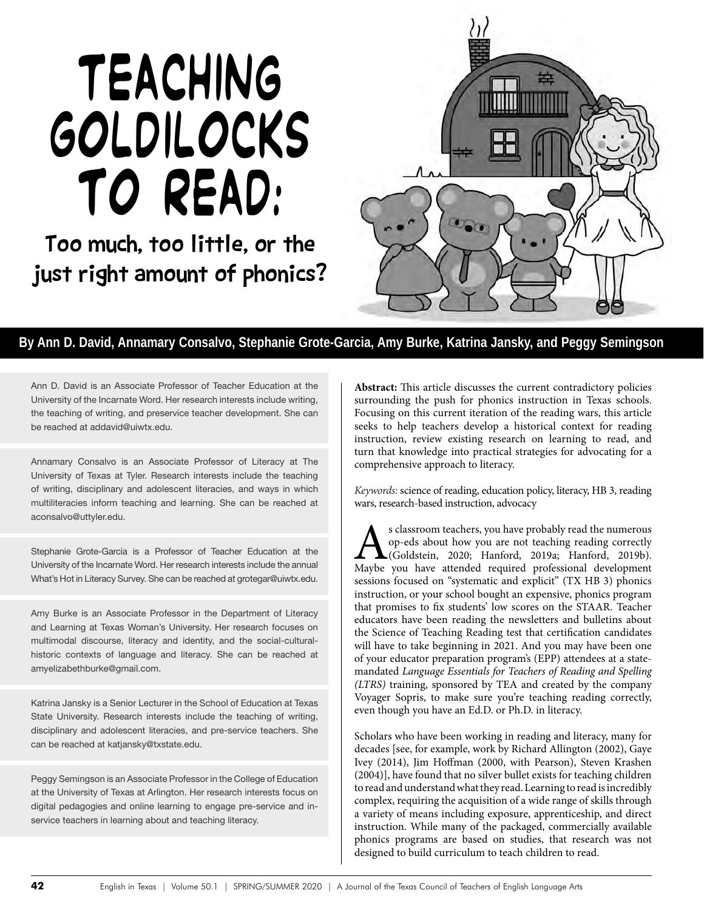# Teaching Goldilocks to read:

Too much, too little, or the just right amount of phonics?



## **By Ann D. David, Annamary Consalvo, Stephanie Grote-Garcia, Amy Burke, Katrina Jansky, and Peggy Semingson**

Ann D. David is an Associate Professor of Teacher Education at the University of the Incarnate Word. Her research interests include writing, the teaching of writing, and preservice teacher development. She can be reached at addavid@uiwtx.edu.

Annamary Consalvo is an Associate Professor of Literacy at The University of Texas at Tyler. Research interests include the teaching of writing, disciplinary and adolescent literacies, and ways in which multiliteracies inform teaching and learning. She can be reached at aconsalvo@uttyler.edu.

Stephanie Grote-Garcia is a Professor of Teacher Education at the University of the Incarnate Word. Her research interests include the annual What's Hot in Literacy Survey. She can be reached at grotegar@uiwtx.edu.

Amy Burke is an Associate Professor in the Department of Literacy and Learning at Texas Woman's University. Her research focuses on multimodal discourse, literacy and identity, and the social-culturalhistoric contexts of language and literacy. She can be reached at amyelizabethburke@gmail.com.

Katrina Jansky is a Senior Lecturer in the School of Education at Texas State University. Research interests include the teaching of writing, disciplinary and adolescent literacies, and pre-service teachers. She can be reached at katjansky@txstate.edu.

Peggy Semingson is an Associate Professor in the College of Education at the University of Texas at Arlington. Her research interests focus on digital pedagogies and online learning to engage pre-service and inservice teachers in learning about and teaching literacy.

**Abstract:** This article discusses the current contradictory policies surrounding the push for phonics instruction in Texas schools. Focusing on this current iteration of the reading wars, this article seeks to help teachers develop a historical context for reading instruction, review existing research on learning to read, and turn that knowledge into practical strategies for advocating for a comprehensive approach to literacy.

*Keywords:* science of reading, education policy, literacy, HB 3, reading wars, research-based instruction, advocacy

As classroom teachers, you have probably read the numerous op-eds about how you are not teaching reading correctly (Goldstein, 2020; Hanford, 2019a; Hanford, 2019b). Maybe you have attended required professional developmen op-eds about how you are not teaching reading correctly (Goldstein, 2020; Hanford, 2019a; Hanford, 2019b). sessions focused on "systematic and explicit" (TX HB 3) phonics instruction, or your school bought an expensive, phonics program that promises to fix students' low scores on the STAAR. Teacher educators have been reading the newsletters and bulletins about the Science of Teaching Reading test that certification candidates will have to take beginning in 2021. And you may have been one of your educator preparation program's (EPP) attendees at a statemandated *Language Essentials for Teachers of Reading and Spelling (LTRS)* training, sponsored by TEA and created by the company Voyager Sopris, to make sure you're teaching reading correctly, even though you have an Ed.D. or Ph.D. in literacy.

Scholars who have been working in reading and literacy, many for decades [see, for example, work by Richard Allington (2002), Gaye Ivey (2014), Jim Hoffman (2000, with Pearson), Steven Krashen (2004)], have found that no silver bullet exists for teaching children to read and understand what they read.Learning to read is incredibly complex, requiring the acquisition of a wide range of skills through a variety of means including exposure, apprenticeship, and direct instruction. While many of the packaged, commercially available phonics programs are based on studies, that research was not designed to build curriculum to teach children to read.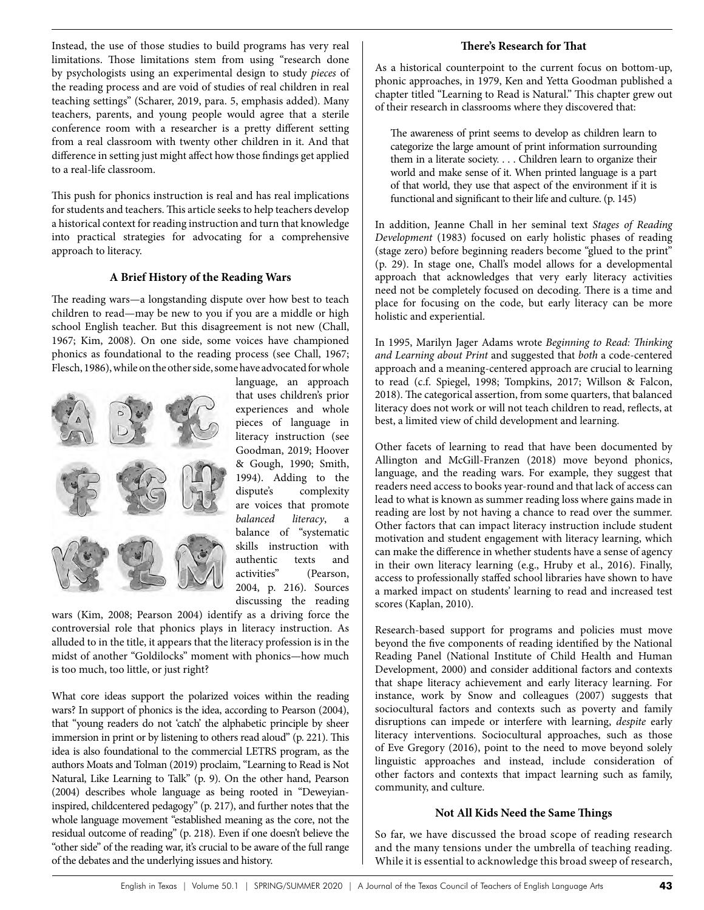Instead, the use of those studies to build programs has very real limitations. Those limitations stem from using "research done by psychologists using an experimental design to study *pieces* of the reading process and are void of studies of real children in real teaching settings" (Scharer, 2019, para. 5, emphasis added). Many teachers, parents, and young people would agree that a sterile conference room with a researcher is a pretty different setting from a real classroom with twenty other children in it. And that difference in setting just might affect how those findings get applied to a real-life classroom.

This push for phonics instruction is real and has real implications for students and teachers. This article seeks to help teachers develop a historical context for reading instruction and turn that knowledge into practical strategies for advocating for a comprehensive approach to literacy.

#### **A Brief History of the Reading Wars**

The reading wars—a longstanding dispute over how best to teach children to read—may be new to you if you are a middle or high school English teacher. But this disagreement is not new (Chall, 1967; Kim, 2008). On one side, some voices have championed phonics as foundational to the reading process (see Chall, 1967; Flesch, 1986), while on the other side, some have advocated for whole



language, an approach that uses children's prior experiences and whole pieces of language in literacy instruction (see Goodman, 2019; Hoover & Gough, 1990; Smith, 1994). Adding to the dispute's complexity are voices that promote *balanced literacy*, a balance of "systematic skills instruction with authentic texts and activities" (Pearson, 2004, p. 216). Sources discussing the reading

wars (Kim, 2008; Pearson 2004) identify as a driving force the controversial role that phonics plays in literacy instruction. As alluded to in the title, it appears that the literacy profession is in the midst of another "Goldilocks" moment with phonics—how much is too much, too little, or just right?

What core ideas support the polarized voices within the reading wars? In support of phonics is the idea, according to Pearson (2004), that "young readers do not 'catch' the alphabetic principle by sheer immersion in print or by listening to others read aloud" (p. 221). This idea is also foundational to the commercial LETRS program, as the authors Moats and Tolman (2019) proclaim, "Learning to Read is Not Natural, Like Learning to Talk" (p. 9). On the other hand, Pearson (2004) describes whole language as being rooted in "Deweyianinspired, childcentered pedagogy" (p. 217), and further notes that the whole language movement "established meaning as the core, not the residual outcome of reading" (p. 218). Even if one doesn't believe the "other side" of the reading war, it's crucial to be aware of the full range of the debates and the underlying issues and history.

## **There's Research for That**

As a historical counterpoint to the current focus on bottom-up, phonic approaches, in 1979, Ken and Yetta Goodman published a chapter titled "Learning to Read is Natural." This chapter grew out of their research in classrooms where they discovered that:

The awareness of print seems to develop as children learn to categorize the large amount of print information surrounding them in a literate society. . . . Children learn to organize their world and make sense of it. When printed language is a part of that world, they use that aspect of the environment if it is functional and significant to their life and culture. (p. 145)

In addition, Jeanne Chall in her seminal text *Stages of Reading Development* (1983) focused on early holistic phases of reading (stage zero) before beginning readers become "glued to the print" (p. 29). In stage one, Chall's model allows for a developmental approach that acknowledges that very early literacy activities need not be completely focused on decoding. There is a time and place for focusing on the code, but early literacy can be more holistic and experiential.

In 1995, Marilyn Jager Adams wrote *Beginning to Read: Thinking and Learning about Print* and suggested that *both* a code-centered approach and a meaning-centered approach are crucial to learning to read (c.f. Spiegel, 1998; Tompkins, 2017; Willson & Falcon, 2018). The categorical assertion, from some quarters, that balanced literacy does not work or will not teach children to read, reflects, at best, a limited view of child development and learning.

Other facets of learning to read that have been documented by Allington and McGill-Franzen (2018) move beyond phonics, language, and the reading wars. For example, they suggest that readers need access to books year-round and that lack of access can lead to what is known as summer reading loss where gains made in reading are lost by not having a chance to read over the summer. Other factors that can impact literacy instruction include student motivation and student engagement with literacy learning, which can make the difference in whether students have a sense of agency in their own literacy learning (e.g., Hruby et al., 2016). Finally, access to professionally staffed school libraries have shown to have a marked impact on students' learning to read and increased test scores (Kaplan, 2010).

Research-based support for programs and policies must move beyond the five components of reading identified by the National Reading Panel (National Institute of Child Health and Human Development, 2000) and consider additional factors and contexts that shape literacy achievement and early literacy learning. For instance, work by Snow and colleagues (2007) suggests that sociocultural factors and contexts such as poverty and family disruptions can impede or interfere with learning, *despite* early literacy interventions. Sociocultural approaches, such as those of Eve Gregory (2016), point to the need to move beyond solely linguistic approaches and instead, include consideration of other factors and contexts that impact learning such as family, community, and culture.

## **Not All Kids Need the Same Things**

So far, we have discussed the broad scope of reading research and the many tensions under the umbrella of teaching reading. While it is essential to acknowledge this broad sweep of research,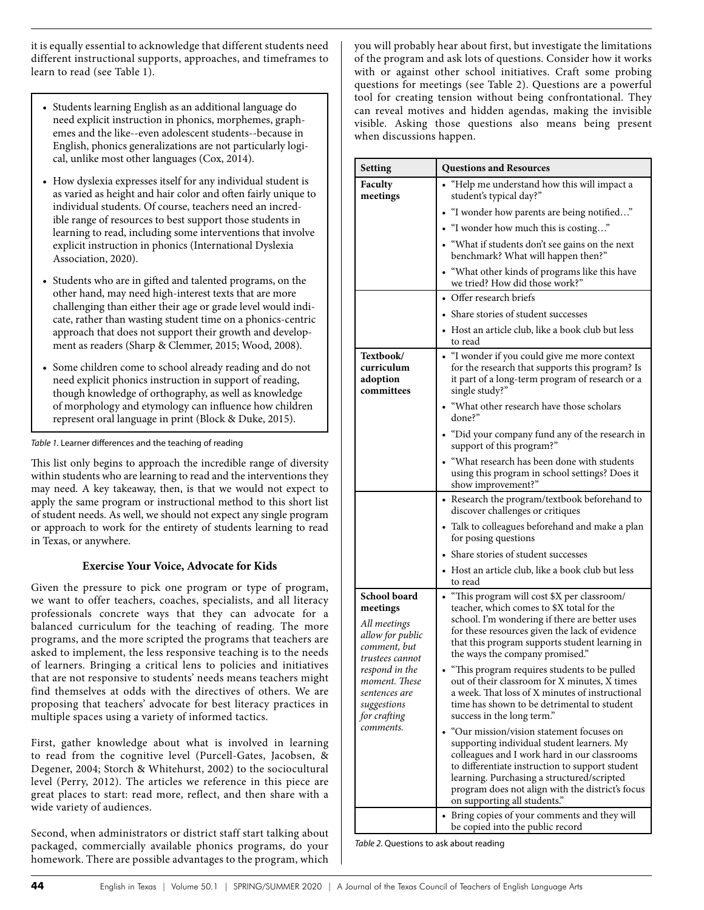it is equally essential to acknowledge that different students need different instructional supports, approaches, and timeframes to learn to read (see Table 1).

- Students learning English as an additional language do need explicit instruction in phonics, morphemes, graphemes and the like--even adolescent students--because in English, phonics generalizations are not particularly logical, unlike most other languages (Cox, 2014).
- How dyslexia expresses itself for any individual student is as varied as height and hair color and often fairly unique to individual students. Of course, teachers need an incredible range of resources to best support those students in learning to read, including some interventions that involve explicit instruction in phonics (International Dyslexia Association, 2020).
- Students who are in gifted and talented programs, on the other hand, may need high-interest texts that are more challenging than either their age or grade level would indicate, rather than wasting student time on a phonics-centric approach that does not support their growth and development as readers (Sharp & Clemmer, 2015; Wood, 2008).
- Some children come to school already reading and do not need explicit phonics instruction in support of reading, though knowledge of orthography, as well as knowledge of morphology and etymology can influence how children represent oral language in print (Block & Duke, 2015).

*Table 1.* Learner differences and the teaching of reading

This list only begins to approach the incredible range of diversity within students who are learning to read and the interventions they may need. A key takeaway, then, is that we would not expect to apply the same program or instructional method to this short list of student needs. As well, we should not expect any single program or approach to work for the entirety of students learning to read in Texas, or anywhere.

## **Exercise Your Voice, Advocate for Kids**

Given the pressure to pick one program or type of program, we want to offer teachers, coaches, specialists, and all literacy professionals concrete ways that they can advocate for a balanced curriculum for the teaching of reading. The more programs, and the more scripted the programs that teachers are asked to implement, the less responsive teaching is to the needs of learners. Bringing a critical lens to policies and initiatives that are not responsive to students' needs means teachers might find themselves at odds with the directives of others. We are proposing that teachers' advocate for best literacy practices in multiple spaces using a variety of informed tactics.

First, gather knowledge about what is involved in learning to read from the cognitive level (Purcell-Gates, Jacobsen, & Degener, 2004; Storch & Whitehurst, 2002) to the sociocultural level (Perry, 2012). The articles we reference in this piece are great places to start: read more, reflect, and then share with a wide variety of audiences.

Second, when administrators or district staff start talking about packaged, commercially available phonics programs, do your homework. There are possible advantages to the program, which you will probably hear about first, but investigate the limitations of the program and ask lots of questions. Consider how it works with or against other school initiatives. Craft some probing questions for meetings (see Table 2). Questions are a powerful tool for creating tension without being confrontational. They can reveal motives and hidden agendas, making the invisible visible. Asking those questions also means being present when discussions happen.

| Setting                                                                                                                                                                                         | <b>Questions and Resources</b>                                                                                                                                                                                                                                                                                                                                                                                                                                                                                                                                                                                                                                                                                                                                                                                                                   |
|-------------------------------------------------------------------------------------------------------------------------------------------------------------------------------------------------|--------------------------------------------------------------------------------------------------------------------------------------------------------------------------------------------------------------------------------------------------------------------------------------------------------------------------------------------------------------------------------------------------------------------------------------------------------------------------------------------------------------------------------------------------------------------------------------------------------------------------------------------------------------------------------------------------------------------------------------------------------------------------------------------------------------------------------------------------|
| Faculty<br>meetings                                                                                                                                                                             | • "Help me understand how this will impact a<br>student's typical day?"                                                                                                                                                                                                                                                                                                                                                                                                                                                                                                                                                                                                                                                                                                                                                                          |
|                                                                                                                                                                                                 | "I wonder how parents are being notified"                                                                                                                                                                                                                                                                                                                                                                                                                                                                                                                                                                                                                                                                                                                                                                                                        |
|                                                                                                                                                                                                 | • "I wonder how much this is costing"                                                                                                                                                                                                                                                                                                                                                                                                                                                                                                                                                                                                                                                                                                                                                                                                            |
|                                                                                                                                                                                                 | • "What if students don't see gains on the next<br>benchmark? What will happen then?"                                                                                                                                                                                                                                                                                                                                                                                                                                                                                                                                                                                                                                                                                                                                                            |
|                                                                                                                                                                                                 | • "What other kinds of programs like this have<br>we tried? How did those work?"                                                                                                                                                                                                                                                                                                                                                                                                                                                                                                                                                                                                                                                                                                                                                                 |
|                                                                                                                                                                                                 | • Offer research briefs                                                                                                                                                                                                                                                                                                                                                                                                                                                                                                                                                                                                                                                                                                                                                                                                                          |
|                                                                                                                                                                                                 | Share stories of student successes                                                                                                                                                                                                                                                                                                                                                                                                                                                                                                                                                                                                                                                                                                                                                                                                               |
|                                                                                                                                                                                                 | • Host an article club, like a book club but less<br>to read                                                                                                                                                                                                                                                                                                                                                                                                                                                                                                                                                                                                                                                                                                                                                                                     |
| Textbook/<br>curriculum<br>adoption<br>committees                                                                                                                                               | • "I wonder if you could give me more context<br>for the research that supports this program? Is<br>it part of a long-term program of research or a<br>single study?"                                                                                                                                                                                                                                                                                                                                                                                                                                                                                                                                                                                                                                                                            |
|                                                                                                                                                                                                 | • "What other research have those scholars<br>done?"                                                                                                                                                                                                                                                                                                                                                                                                                                                                                                                                                                                                                                                                                                                                                                                             |
|                                                                                                                                                                                                 | • "Did your company fund any of the research in<br>support of this program?"                                                                                                                                                                                                                                                                                                                                                                                                                                                                                                                                                                                                                                                                                                                                                                     |
|                                                                                                                                                                                                 | "What research has been done with students<br>using this program in school settings? Does it<br>show improvement?"                                                                                                                                                                                                                                                                                                                                                                                                                                                                                                                                                                                                                                                                                                                               |
|                                                                                                                                                                                                 | • Research the program/textbook beforehand to<br>discover challenges or critiques                                                                                                                                                                                                                                                                                                                                                                                                                                                                                                                                                                                                                                                                                                                                                                |
|                                                                                                                                                                                                 | • Talk to colleagues beforehand and make a plan<br>for posing questions                                                                                                                                                                                                                                                                                                                                                                                                                                                                                                                                                                                                                                                                                                                                                                          |
|                                                                                                                                                                                                 | • Share stories of student successes                                                                                                                                                                                                                                                                                                                                                                                                                                                                                                                                                                                                                                                                                                                                                                                                             |
|                                                                                                                                                                                                 | • Host an article club, like a book club but less<br>to read                                                                                                                                                                                                                                                                                                                                                                                                                                                                                                                                                                                                                                                                                                                                                                                     |
| School board<br>meetings<br>All meetings<br>allow for public<br>comment, but<br>trustees cannot<br>respond in the<br>moment. These<br>sentences are<br>suggestions<br>for crafting<br>comments. | "This program will cost \$X per classroom/<br>teacher, which comes to \$X total for the<br>school. I'm wondering if there are better uses<br>for these resources given the lack of evidence<br>that this program supports student learning in<br>the ways the company promised."<br>"This program requires students to be pulled<br>out of their classroom for X minutes, X times<br>a week. That loss of X minutes of instructional<br>time has shown to be detrimental to student<br>success in the long term."<br>"Our mission/vision statement focuses on<br>supporting individual student learners. My<br>colleagues and I work hard in our classrooms<br>to differentiate instruction to support student<br>learning. Purchasing a structured/scripted<br>program does not align with the district's focus<br>on supporting all students." |
|                                                                                                                                                                                                 | Bring copies of your comments and they will<br>be copied into the public record                                                                                                                                                                                                                                                                                                                                                                                                                                                                                                                                                                                                                                                                                                                                                                  |

*Table 2.* Questions to ask about reading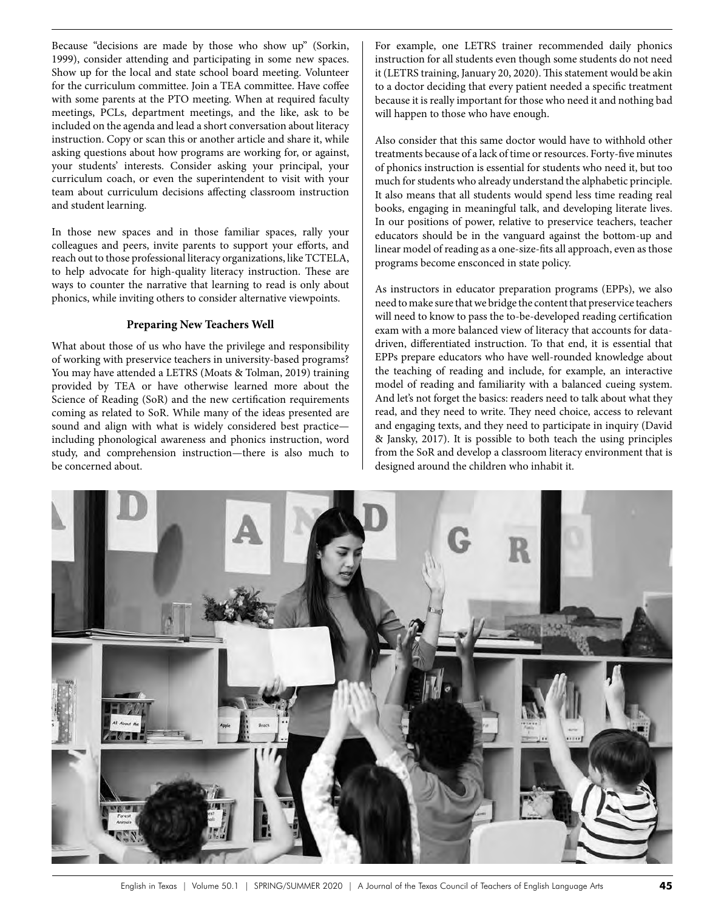Because "decisions are made by those who show up" (Sorkin, 1999), consider attending and participating in some new spaces. Show up for the local and state school board meeting. Volunteer for the curriculum committee. Join a TEA committee. Have coffee with some parents at the PTO meeting. When at required faculty meetings, PCLs, department meetings, and the like, ask to be included on the agenda and lead a short conversation about literacy instruction. Copy or scan this or another article and share it, while asking questions about how programs are working for, or against, your students' interests. Consider asking your principal, your curriculum coach, or even the superintendent to visit with your team about curriculum decisions affecting classroom instruction and student learning.

In those new spaces and in those familiar spaces, rally your colleagues and peers, invite parents to support your efforts, and reach out to those professional literacy organizations, like TCTELA, to help advocate for high-quality literacy instruction. These are ways to counter the narrative that learning to read is only about phonics, while inviting others to consider alternative viewpoints.

#### **Preparing New Teachers Well**

What about those of us who have the privilege and responsibility of working with preservice teachers in university-based programs? You may have attended a LETRS (Moats & Tolman, 2019) training provided by TEA or have otherwise learned more about the Science of Reading (SoR) and the new certification requirements coming as related to SoR. While many of the ideas presented are sound and align with what is widely considered best practice including phonological awareness and phonics instruction, word study, and comprehension instruction—there is also much to be concerned about.

For example, one LETRS trainer recommended daily phonics instruction for all students even though some students do not need it (LETRS training, January 20, 2020). This statement would be akin to a doctor deciding that every patient needed a specific treatment because it is really important for those who need it and nothing bad will happen to those who have enough.

Also consider that this same doctor would have to withhold other treatments because of a lack of time or resources. Forty-five minutes of phonics instruction is essential for students who need it, but too much for students who already understand the alphabetic principle. It also means that all students would spend less time reading real books, engaging in meaningful talk, and developing literate lives. In our positions of power, relative to preservice teachers, teacher educators should be in the vanguard against the bottom-up and linear model of reading as a one-size-fits all approach, even as those programs become ensconced in state policy.

As instructors in educator preparation programs (EPPs), we also need to make sure that we bridge the content that preservice teachers will need to know to pass the to-be-developed reading certification exam with a more balanced view of literacy that accounts for datadriven, differentiated instruction. To that end, it is essential that EPPs prepare educators who have well-rounded knowledge about the teaching of reading and include, for example, an interactive model of reading and familiarity with a balanced cueing system. And let's not forget the basics: readers need to talk about what they read, and they need to write. They need choice, access to relevant and engaging texts, and they need to participate in inquiry (David & Jansky, 2017). It is possible to both teach the using principles from the SoR and develop a classroom literacy environment that is designed around the children who inhabit it.

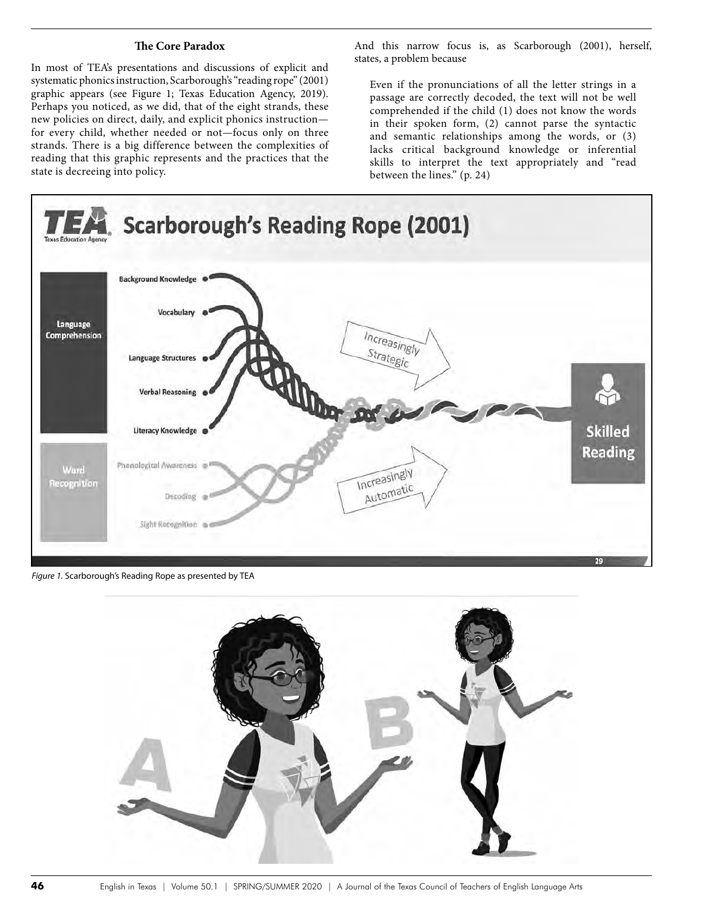#### **The Core Paradox**

In most of TEA's presentations and discussions of explicit and systematic phonics instruction, Scarborough's "reading rope" (2001) graphic appears (see Figure 1; Texas Education Agency, 2019). Perhaps you noticed, as we did, that of the eight strands, these new policies on direct, daily, and explicit phonics instruction for every child, whether needed or not—focus only on three strands. There is a big difference between the complexities of reading that this graphic represents and the practices that the state is decreeing into policy.

And this narrow focus is, as Scarborough (2001), herself, states, a problem because

Even if the pronunciations of all the letter strings in a passage are correctly decoded, the text will not be well comprehended if the child (1) does not know the words in their spoken form, (2) cannot parse the syntactic and semantic relationships among the words, or (3) lacks critical background knowledge or inferential skills to interpret the text appropriately and "read between the lines." (p. 24)



*Figure 1.* Scarborough's Reading Rope as presented by TEA

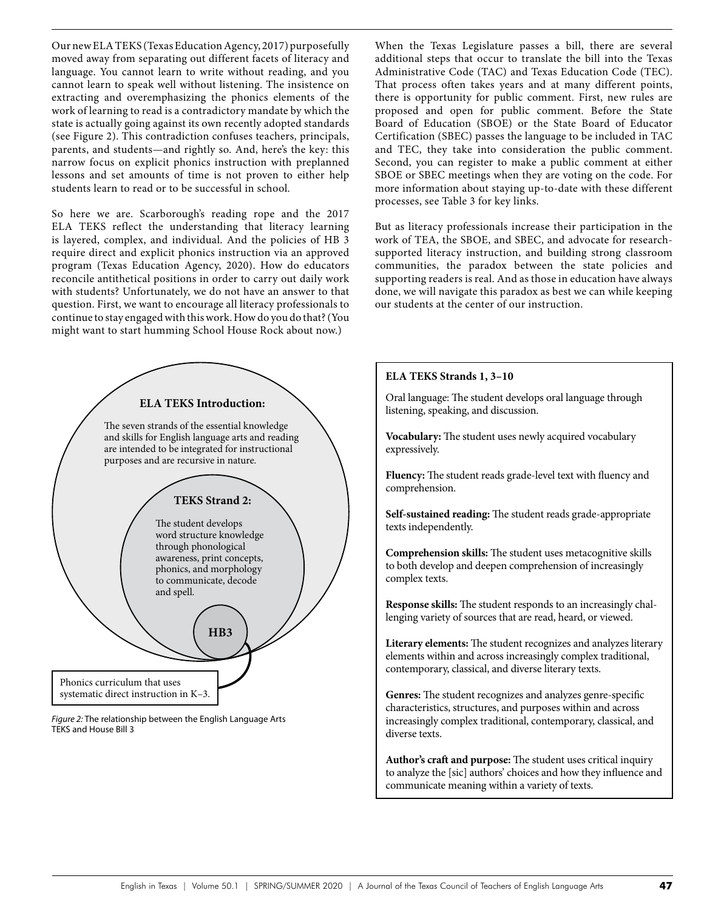Our new ELA TEKS (Texas Education Agency, 2017) purposefully moved away from separating out different facets of literacy and language. You cannot learn to write without reading, and you cannot learn to speak well without listening. The insistence on extracting and overemphasizing the phonics elements of the work of learning to read is a contradictory mandate by which the state is actually going against its own recently adopted standards (see Figure 2). This contradiction confuses teachers, principals, parents, and students—and rightly so. And, here's the key: this narrow focus on explicit phonics instruction with preplanned lessons and set amounts of time is not proven to either help students learn to read or to be successful in school.

So here we are. Scarborough's reading rope and the 2017 ELA TEKS reflect the understanding that literacy learning is layered, complex, and individual. And the policies of HB 3 require direct and explicit phonics instruction via an approved program (Texas Education Agency, 2020). How do educators reconcile antithetical positions in order to carry out daily work with students? Unfortunately, we do not have an answer to that question. First, we want to encourage all literacy professionals to continue to stay engaged with this work. How do you do that? (You might want to start humming School House Rock about now.)



*Figure 2:* The relationship between the English Language Arts TEKS and House Bill 3

When the Texas Legislature passes a bill, there are several additional steps that occur to translate the bill into the Texas Administrative Code (TAC) and Texas Education Code (TEC). That process often takes years and at many different points, there is opportunity for public comment. First, new rules are proposed and open for public comment. Before the State Board of Education (SBOE) or the State Board of Educator Certification (SBEC) passes the language to be included in TAC and TEC, they take into consideration the public comment. Second, you can register to make a public comment at either SBOE or SBEC meetings when they are voting on the code. For more information about staying up-to-date with these different processes, see Table 3 for key links.

But as literacy professionals increase their participation in the work of TEA, the SBOE, and SBEC, and advocate for researchsupported literacy instruction, and building strong classroom communities, the paradox between the state policies and supporting readers is real. And as those in education have always done, we will navigate this paradox as best we can while keeping our students at the center of our instruction.

#### **ELA TEKS Strands 1, 3–10**

Oral language: The student develops oral language through listening, speaking, and discussion.

**Vocabulary:** The student uses newly acquired vocabulary expressively.

**Fluency:** The student reads grade-level text with fluency and comprehension.

**Self-sustained reading:** The student reads grade-appropriate texts independently.

**Comprehension skills:** The student uses metacognitive skills to both develop and deepen comprehension of increasingly complex texts.

**Response skills:** The student responds to an increasingly challenging variety of sources that are read, heard, or viewed.

**Literary elements:** The student recognizes and analyzes literary elements within and across increasingly complex traditional, contemporary, classical, and diverse literary texts.

**Genres:** The student recognizes and analyzes genre-specific characteristics, structures, and purposes within and across increasingly complex traditional, contemporary, classical, and diverse texts.

**Author's craft and purpose:** The student uses critical inquiry to analyze the [sic] authors' choices and how they influence and communicate meaning within a variety of texts.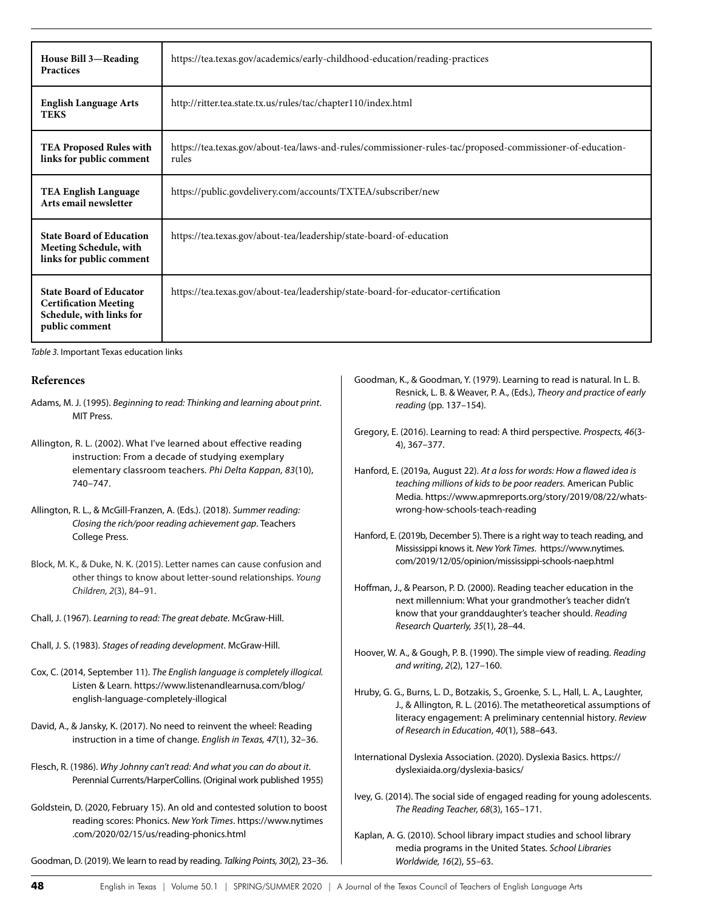| House Bill 3-Reading<br><b>Practices</b>                                                                     | https://tea.texas.gov/academics/early-childhood-education/reading-practices                                        |
|--------------------------------------------------------------------------------------------------------------|--------------------------------------------------------------------------------------------------------------------|
| <b>English Language Arts</b><br><b>TEKS</b>                                                                  | http://ritter.tea.state.tx.us/rules/tac/chapter110/index.html                                                      |
| <b>TEA Proposed Rules with</b><br>links for public comment                                                   | https://tea.texas.gov/about-tea/laws-and-rules/commissioner-rules-tac/proposed-commissioner-of-education-<br>rules |
| <b>TEA English Language</b><br>Arts email newsletter                                                         | https://public.govdelivery.com/accounts/TXTEA/subscriber/new                                                       |
| <b>State Board of Education</b><br>Meeting Schedule, with<br>links for public comment                        | https://tea.texas.gov/about-tea/leadership/state-board-of-education                                                |
| <b>State Board of Educator</b><br><b>Certification Meeting</b><br>Schedule, with links for<br>public comment | https://tea.texas.gov/about-tea/leadership/state-board-for-educator-certification                                  |

*Table 3.* Important Texas education links

#### **References**

- Adams, M. J. (1995). *Beginning to read: Thinking and learning about print*. MIT Press.
- Allington, R. L. (2002). What I've learned about effective reading instruction: From a decade of studying exemplary elementary classroom teachers. *Phi Delta Kappan, 83*(10), 740–747.
- Allington, R. L., & McGill-Franzen, A. (Eds.). (2018). *Summer reading: Closing the rich/poor reading achievement gap*. Teachers College Press.
- Block, M. K., & Duke, N. K. (2015). Letter names can cause confusion and other things to know about letter-sound relationships. *Young Children, 2*(3), 84–91.
- Chall, J. (1967). *Learning to read: The great debate*. McGraw-Hill.
- Chall, J. S. (1983). *Stages of reading development*. McGraw-Hill.
- Cox, C. (2014, September 11). *The English language is completely illogical.* Listen & Learn. https://www.listenandlearnusa.com/blog/ english-language-completely-illogical
- David, A., & Jansky, K. (2017). No need to reinvent the wheel: Reading instruction in a time of change. *English in Texas, 47*(1), 32–36.
- Flesch, R. (1986). *Why Johnny can't read: And what you can do about it*. Perennial Currents/HarperCollins. (Original work published 1955)
- Goldstein, D. (2020, February 15). An old and contested solution to boost reading scores: Phonics. *New York Times*. https://www.nytimes .com/2020/02/15/us/reading-phonics.html

Goodman, D. (2019). We learn to read by reading. *Talking Points, 30*(2), 23–36.

- Goodman, K., & Goodman, Y. (1979). Learning to read is natural. In L. B. Resnick, L. B. & Weaver, P. A., (Eds.), *Theory and practice of early reading* (pp. 137–154).
- Gregory, E. (2016). Learning to read: A third perspective. *Prospects, 46*(3- 4), 367–377.
- Hanford, E. (2019a, August 22). *At a loss for words: How a flawed idea is teaching millions of kids to be poor readers.* American Public Media. https://www.apmreports.org/story/2019/08/22/whatswrong-how-schools-teach-reading
- Hanford, E. (2019b, December 5). There is a right way to teach reading, and Mississippi knows it. *New York Times*. https://www.nytimes. com/2019/12/05/opinion/mississippi-schools-naep.html
- Hoffman, J., & Pearson, P. D. (2000). Reading teacher education in the next millennium: What your grandmother's teacher didn't know that your granddaughter's teacher should. *Reading Research Quarterly, 35*(1), 28–44.
- Hoover, W. A., & Gough, P. B. (1990). The simple view of reading. *Reading and writing*, *2*(2), 127–160.
- Hruby, G. G., Burns, L. D., Botzakis, S., Groenke, S. L., Hall, L. A., Laughter, J., & Allington, R. L. (2016). The metatheoretical assumptions of literacy engagement: A preliminary centennial history. *Review of Research in Education*, *40*(1), 588–643.
- International Dyslexia Association. (2020). Dyslexia Basics. https:// dyslexiaida.org/dyslexia-basics/
- Ivey, G. (2014). The social side of engaged reading for young adolescents. *The Reading Teacher, 68*(3), 165–171.
- Kaplan, A. G. (2010). School library impact studies and school library media programs in the United States. *School Libraries Worldwide, 16*(2), 55–63.